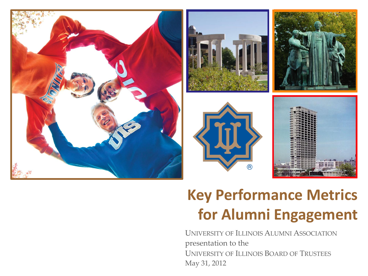



## **Key Performance Metrics for Alumni Engagement**

UNIVERSITY OF ILLINOIS ALUMNI ASSOCIATION presentation to the UNIVERSITY OF ILLINOIS BOARD OF TRUSTEES May 31, 2012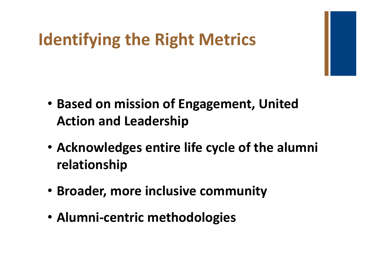## **Identifying the Right Metrics**

- **Based on mission of Engagement, United Action and Leadership**
- **Acknowledges entire life cycle of the alumni relationship**
- **Broader, more inclusive community**
- **Alumni-centric methodologies**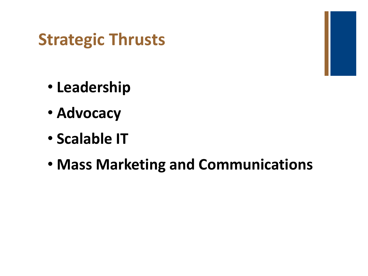## **Strategic Thrusts**

- **Leadership**
- **Advocacy**
- **Scalable IT**
- **Mass Marketing and Communications**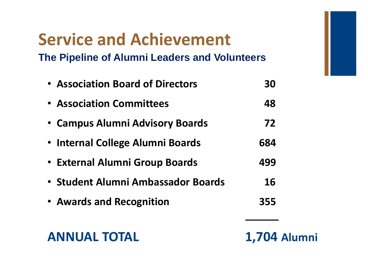## **Service and Achievement**

**The Pipeline of Alumni Leaders and Volunteers**

| • Association Board of Directors   | 30  |
|------------------------------------|-----|
| <b>• Association Committees</b>    | 48  |
| • Campus Alumni Advisory Boards    | 72  |
| • Internal College Alumni Boards   | 684 |
| • External Alumni Group Boards     | 499 |
| • Student Alumni Ambassador Boards | 16  |
| • Awards and Recognition           | 355 |
|                                    |     |

### **ANNUAL TOTAL 1,704 Alumni**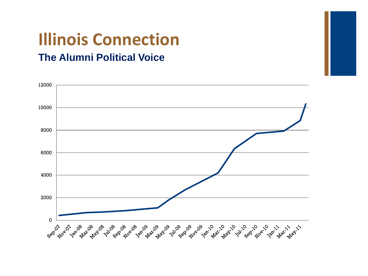# **Illinois Connection**

### **The Alumni Political Voice**

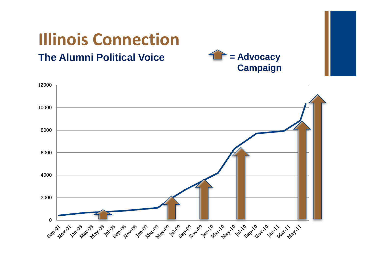# **Illinois Connection**

### **The Alumni Political Voice**



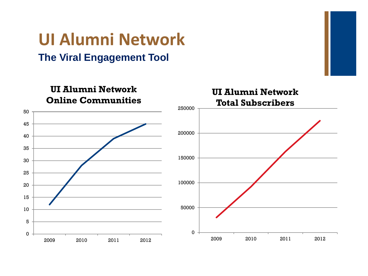### **UI Alumni Network The Viral Engagement Tool**

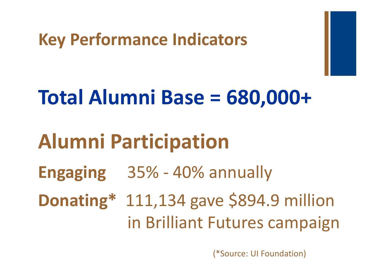## **Key Performance Indicators**

# **Total Alumni Base = 680,000+**

# **Alumni Participation**

**Engaging** 35% - 40% annually

**Donating\*** 111,134 gave \$894.9 million in Brilliant Futures campaign

(\*Source: UI Foundation)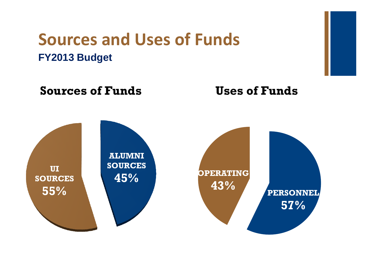### **Sources and Uses of Funds FY2013 Budget**

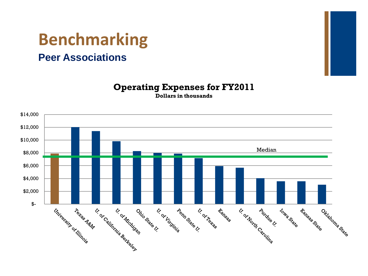# **Benchmarking**

### **Peer Associations**



#### **Operating Expenses for FY2011**

**Dollars in thousands** 

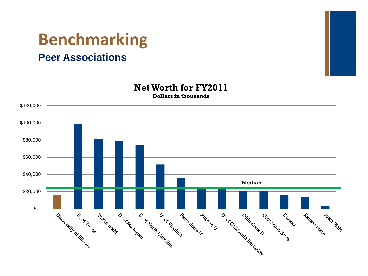# **Benchmarking**

### **Peer Associations**



**Net Worth for FY2011 Dollars in thousands**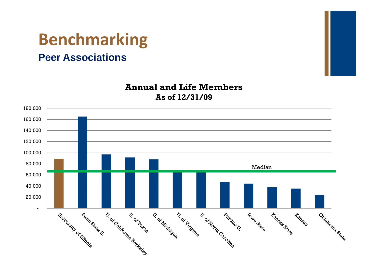# **Benchmarking**

### **Peer Associations**



#### **Annual and Life Members As of 12/31/09**